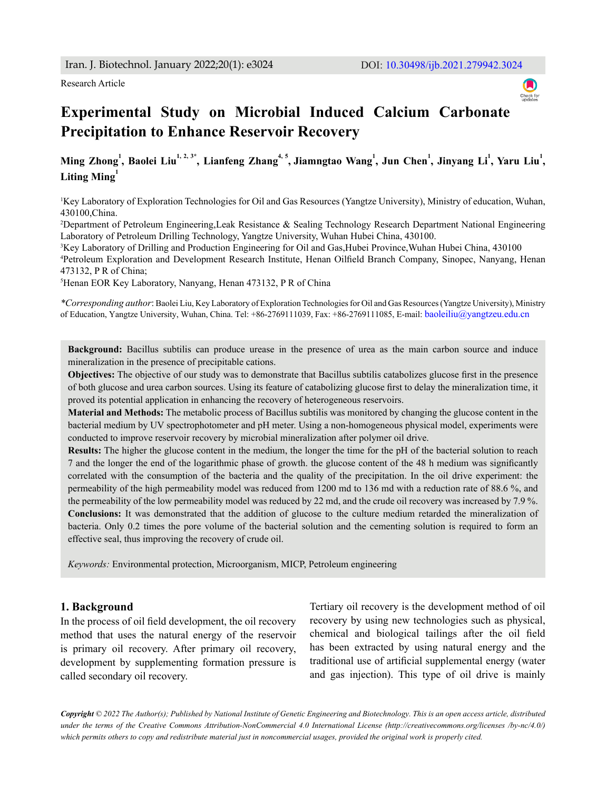

# **Experimental Study on Microbial Induced Calcium Carbonate Precipitation to Enhance Reservoir Recovery**

# Ming Zhong<sup>1</sup>, Baolei Liu<sup>1, 2, 3\*</sup>, Lianfeng Zhang<sup>4, 5</sup>, Jiamngtao Wang<sup>1</sup>, Jun Chen<sup>1</sup>, Jinyang Li<sup>1</sup>, Yaru Liu<sup>1</sup>, Liting Ming<sup>1</sup>

1 Key Laboratory of Exploration Technologies for Oil and Gas Resources (Yangtze University), Ministry of education, Wuhan, 430100,China.

2 Department of Petroleum Engineering,Leak Resistance & Sealing Technology Research Department National Engineering Laboratory of Petroleum Drilling Technology, Yangtze University, Wuhan Hubei China, 430100.

3 Key Laboratory of Drilling and Production Engineering for Oil and Gas,Hubei Province,Wuhan Hubei China, 430100 4 Petroleum Exploration and Development Research Institute, Henan Oilfield Branch Company, Sinopec, Nanyang, Henan 473132, P R of China;

5 Henan EOR Key Laboratory, Nanyang, Henan 473132, P R of China

*\*Corresponding author*: Baolei Liu, Key Laboratory of Exploration Technologies for Oil and Gas Resources (Yangtze University), Ministry of Education, Yangtze University, Wuhan, China. Tel: +86-2769111039, Fax: +86-2769111085, E-mail: baoleiliu@yangtzeu.edu.cn

**Background:** Bacillus subtilis can produce urease in the presence of urea as the main carbon source and induce mineralization in the presence of precipitable cations.

**Objectives:** The objective of our study was to demonstrate that Bacillus subtilis catabolizes glucose first in the presence of both glucose and urea carbon sources. Using its feature of catabolizing glucose first to delay the mineralization time, it proved its potential application in enhancing the recovery of heterogeneous reservoirs.

**Material and Methods:** The metabolic process of Bacillus subtilis was monitored by changing the glucose content in the bacterial medium by UV spectrophotometer and pH meter. Using a non-homogeneous physical model, experiments were conducted to improve reservoir recovery by microbial mineralization after polymer oil drive.

**Results:** The higher the glucose content in the medium, the longer the time for the pH of the bacterial solution to reach 7 and the longer the end of the logarithmic phase of growth. the glucose content of the 48 h medium was significantly correlated with the consumption of the bacteria and the quality of the precipitation. In the oil drive experiment: the permeability of the high permeability model was reduced from 1200 md to 136 md with a reduction rate of 88.6 %, and the permeability of the low permeability model was reduced by 22 md, and the crude oil recovery was increased by 7.9 %. **Conclusions:** It was demonstrated that the addition of glucose to the culture medium retarded the mineralization of bacteria. Only 0.2 times the pore volume of the bacterial solution and the cementing solution is required to form an effective seal, thus improving the recovery of crude oil.

*Keywords:* Environmental protection, Microorganism, MICP, Petroleum engineering

#### **1. Background**

In the process of oil field development, the oil recovery method that uses the natural energy of the reservoir is primary oil recovery. After primary oil recovery, development by supplementing formation pressure is called secondary oil recovery.

Tertiary oil recovery is the development method of oil recovery by using new technologies such as physical, chemical and biological tailings after the oil field has been extracted by using natural energy and the traditional use of artificial supplemental energy (water and gas injection). This type of oil drive is mainly

*Copyright © 2022 The Author(s); Published by National Institute of Genetic Engineering and Biotechnology. This is an open access article, distributed under the terms of the Creative Commons Attribution-NonCommercial 4.0 International License (http://creativecommons.org/licenses /by-nc/4.0/) which permits others to copy and redistribute material just in noncommercial usages, provided the original work is properly cited.*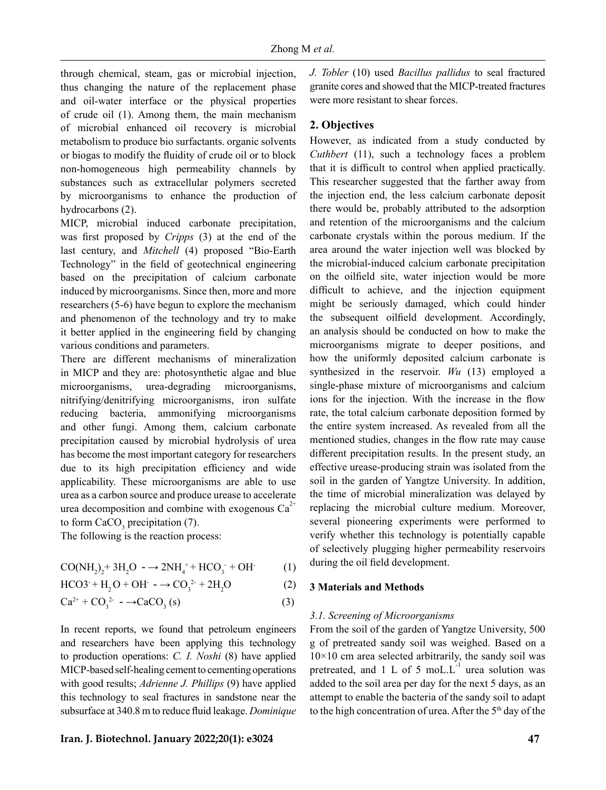through chemical, steam, gas or microbial injection, thus changing the nature of the replacement phase and oil-water interface or the physical properties of crude oil (1). Among them, the main mechanism of microbial enhanced oil recovery is microbial metabolism to produce bio surfactants. organic solvents or biogas to modify the fluidity of crude oil or to block non-homogeneous high permeability channels by substances such as extracellular polymers secreted by microorganisms to enhance the production of hydrocarbons (2).

MICP, microbial induced carbonate precipitation, was first proposed by *Cripps* (3) at the end of the last century, and *Mitchell* (4) proposed "Bio-Earth Technology" in the field of geotechnical engineering based on the precipitation of calcium carbonate induced by microorganisms. Since then, more and more researchers (5-6) have begun to explore the mechanism and phenomenon of the technology and try to make it better applied in the engineering field by changing various conditions and parameters.

There are different mechanisms of mineralization in MICP and they are: photosynthetic algae and blue microorganisms, urea-degrading microorganisms, nitrifying/denitrifying microorganisms, iron sulfate reducing bacteria, ammonifying microorganisms and other fungi. Among them, calcium carbonate precipitation caused by microbial hydrolysis of urea has become the most important category for researchers due to its high precipitation efficiency and wide applicability. These microorganisms are able to use urea as a carbon source and produce urease to accelerate urea decomposition and combine with exogenous  $Ca^{2+}$ to form  $CaCO<sub>3</sub>$  precipitation (7).

The following is the reaction process:

$$
CO(NH_2)_2 + 3H_2O \rightarrow 2NH_4^+ + HCO_3^- + OH \tag{1}
$$

$$
HCO3^{+} + H_2O + OH^- \rightarrow CO_3^{2+} + 2H_2O
$$
 (2)

$$
Ca^{2+} + CO_3^{2-} \rightarrow CaCO_3(s)
$$
 (3)

In recent reports, we found that petroleum engineers and researchers have been applying this technology to production operations: *C. I. Noshi* (8) have applied MICP-based self-healing cement to cementing operations with good results; *Adrienne J. Phillips* (9) have applied this technology to seal fractures in sandstone near the subsurface at 340.8 m to reduce fluid leakage. *Dominique*  *J. Tobler* (10) used *Bacillus pallidus* to seal fractured granite cores and showed that the MICP-treated fractures were more resistant to shear forces.

# **2. Objectives**

However, as indicated from a study conducted by *Cuthbert* (11), such a technology faces a problem that it is difficult to control when applied practically. This researcher suggested that the farther away from the injection end, the less calcium carbonate deposit there would be, probably attributed to the adsorption and retention of the microorganisms and the calcium carbonate crystals within the porous medium. If the area around the water injection well was blocked by the microbial-induced calcium carbonate precipitation on the oilfield site, water injection would be more difficult to achieve, and the injection equipment might be seriously damaged, which could hinder the subsequent oilfield development. Accordingly, an analysis should be conducted on how to make the microorganisms migrate to deeper positions, and how the uniformly deposited calcium carbonate is synthesized in the reservoir. *Wu* (13) employed a single-phase mixture of microorganisms and calcium ions for the injection. With the increase in the flow rate, the total calcium carbonate deposition formed by the entire system increased. As revealed from all the mentioned studies, changes in the flow rate may cause different precipitation results. In the present study, an effective urease-producing strain was isolated from the soil in the garden of Yangtze University. In addition, the time of microbial mineralization was delayed by replacing the microbial culture medium. Moreover, several pioneering experiments were performed to verify whether this technology is potentially capable of selectively plugging higher permeability reservoirs during the oil field development.

## **3 Materials and Methods**

## *3.1. Screening of Microorganisms*

From the soil of the garden of Yangtze University, 500 g of pretreated sandy soil was weighed. Based on a  $10\times10$  cm area selected arbitrarily, the sandy soil was pretreated, and 1 L of 5 moL. $L^{-1}$  urea solution was added to the soil area per day for the next 5 days, as an attempt to enable the bacteria of the sandy soil to adapt to the high concentration of urea. After the 5<sup>th</sup> day of the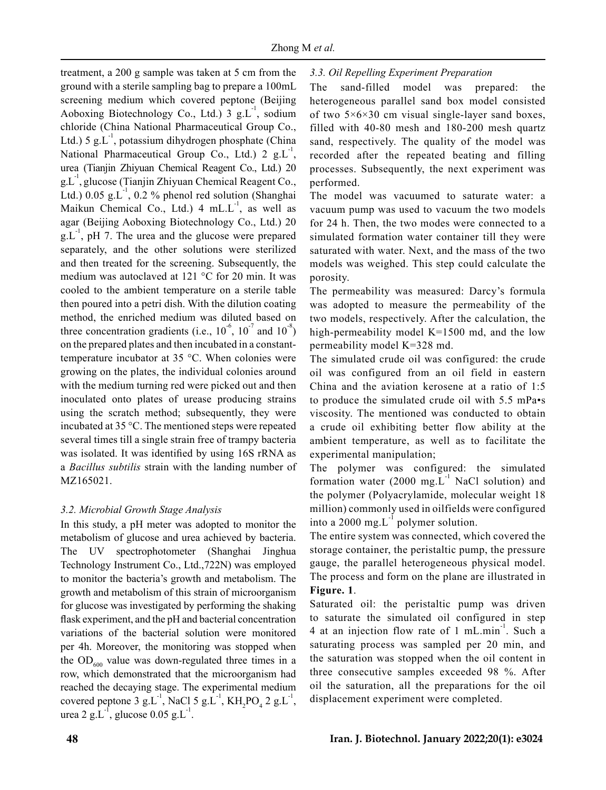treatment, a 200 g sample was taken at 5 cm from the ground with a sterile sampling bag to prepare a 100mL screening medium which covered peptone (Beijing Aoboxing Biotechnology Co., Ltd.)  $3 \text{ g.L}^{-1}$ , sodium chloride (China National Pharmaceutical Group Co., Ltd.) 5 g.L<sup>-1</sup>, potassium dihydrogen phosphate (China National Pharmaceutical Group Co., Ltd.) 2  $g.L^{-1}$ , urea (Tianjin Zhiyuan Chemical Reagent Co., Ltd.) 20  $g_{\rm L}$ <sup>-1</sup>, glucose (Tianjin Zhiyuan Chemical Reagent Co., Ltd.)  $0.05$  g.L<sup>-1</sup>,  $0.2$  % phenol red solution (Shanghai Maikun Chemical Co., Ltd.)  $4 \text{ mL.L}^{-1}$ , as well as agar (Beijing Aoboxing Biotechnology Co., Ltd.) 20  $g_{\rm L}$ <sup>-1</sup>, pH 7. The urea and the glucose were prepared separately, and the other solutions were sterilized and then treated for the screening. Subsequently, the medium was autoclaved at 121 °C for 20 min. It was cooled to the ambient temperature on a sterile table then poured into a petri dish. With the dilution coating method, the enriched medium was diluted based on three concentration gradients (i.e.,  $10^{-6}$ ,  $10^{-7}$  and  $10^{-8}$ ) on the prepared plates and then incubated in a constanttemperature incubator at 35 °C. When colonies were growing on the plates, the individual colonies around with the medium turning red were picked out and then inoculated onto plates of urease producing strains using the scratch method; subsequently, they were incubated at 35 °C. The mentioned steps were repeated several times till a single strain free of trampy bacteria was isolated. It was identified by using 16S rRNA as a *Bacillus subtilis* strain with the landing number of MZ165021.

## *3.2. Microbial Growth Stage Analysis*

In this study, a pH meter was adopted to monitor the metabolism of glucose and urea achieved by bacteria. The UV spectrophotometer (Shanghai Jinghua Technology Instrument Co., Ltd.,722N) was employed to monitor the bacteria's growth and metabolism. The growth and metabolism of this strain of microorganism for glucose was investigated by performing the shaking flask experiment, and the pH and bacterial concentration variations of the bacterial solution were monitored per 4h. Moreover, the monitoring was stopped when the  $OD<sub>600</sub>$  value was down-regulated three times in a row, which demonstrated that the microorganism had reached the decaying stage. The experimental medium covered peptone 3 g.L<sup>-1</sup>, NaCl 5 g.L<sup>-1</sup>, KH<sub>2</sub>PO<sub>4</sub> 2 g.L<sup>-1</sup>, urea 2 g.L<sup>-1</sup>, glucose  $0.05$  g.L<sup>-1</sup>.

# *3.3. Oil Repelling Experiment Preparation*

The sand-filled model was prepared: the heterogeneous parallel sand box model consisted of two  $5\times6\times30$  cm visual single-layer sand boxes, filled with 40-80 mesh and 180-200 mesh quartz sand, respectively. The quality of the model was recorded after the repeated beating and filling processes. Subsequently, the next experiment was performed.

The model was vacuumed to saturate water: a vacuum pump was used to vacuum the two models for 24 h. Then, the two modes were connected to a simulated formation water container till they were saturated with water. Next, and the mass of the two models was weighed. This step could calculate the porosity.

The permeability was measured: Darcy's formula was adopted to measure the permeability of the two models, respectively. After the calculation, the high-permeability model K=1500 md, and the low permeability model K=328 md.

The simulated crude oil was configured: the crude oil was configured from an oil field in eastern China and the aviation kerosene at a ratio of 1:5 to produce the simulated crude oil with 5.5 mPa•s viscosity. The mentioned was conducted to obtain a crude oil exhibiting better flow ability at the ambient temperature, as well as to facilitate the experimental manipulation;

The polymer was configured: the simulated formation water (2000 mg. $L^{-1}$  NaCl solution) and the polymer (Polyacrylamide, molecular weight 18 million) commonly used in oilfields were configured into a 2000 mg. $L^{-1}$  polymer solution.

The entire system was connected, which covered the storage container, the peristaltic pump, the pressure gauge, the parallel heterogeneous physical model. The process and form on the plane are illustrated in **Figure. 1**.

Saturated oil: the peristaltic pump was driven to saturate the simulated oil configured in step 4 at an injection flow rate of 1 mL.min $^{-1}$ . Such a saturating process was sampled per 20 min, and the saturation was stopped when the oil content in three consecutive samples exceeded 98 %. After oil the saturation, all the preparations for the oil displacement experiment were completed.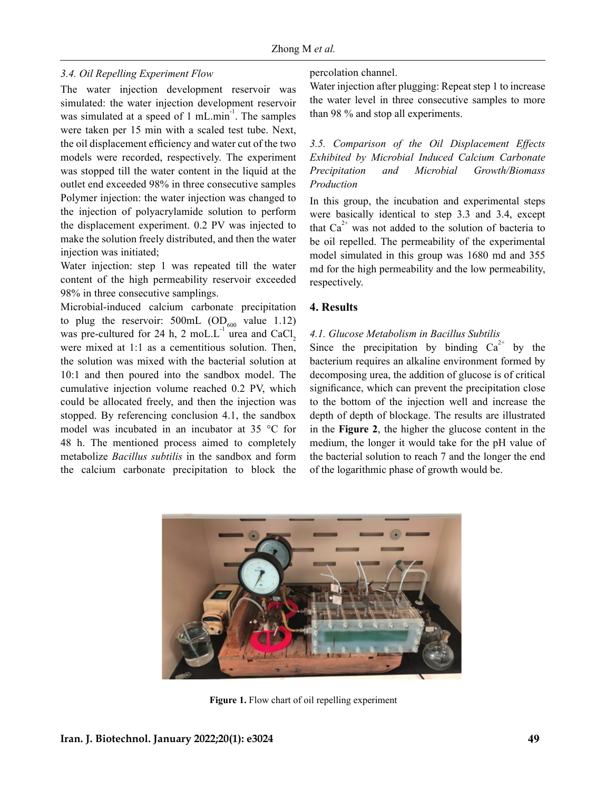## *3.4. Oil Repelling Experiment Flow*

The water injection development reservoir was simulated: the water injection development reservoir was simulated at a speed of  $1 \text{ mL.min}^{-1}$ . The samples were taken per 15 min with a scaled test tube. Next, the oil displacement efficiency and water cut of the two models were recorded, respectively. The experiment was stopped till the water content in the liquid at the outlet end exceeded 98% in three consecutive samples Polymer injection: the water injection was changed to the injection of polyacrylamide solution to perform the displacement experiment. 0.2 PV was injected to make the solution freely distributed, and then the water injection was initiated;

Water injection: step 1 was repeated till the water content of the high permeability reservoir exceeded 98% in three consecutive samplings.

Microbial-induced calcium carbonate precipitation to plug the reservoir:  $500$ mL (OD<sub>600</sub> value 1.12) was pre-cultured for 24 h, 2 moL. $L^{-1}$  urea and CaCl. were mixed at 1:1 as a cementitious solution. Then, the solution was mixed with the bacterial solution at 10:1 and then poured into the sandbox model. The cumulative injection volume reached 0.2 PV, which could be allocated freely, and then the injection was stopped. By referencing conclusion 4.1, the sandbox model was incubated in an incubator at 35 °C for 48 h. The mentioned process aimed to completely metabolize *Bacillus subtilis* in the sandbox and form the calcium carbonate precipitation to block the

#### percolation channel.

Water injection after plugging: Repeat step 1 to increase the water level in three consecutive samples to more than 98 % and stop all experiments.

*3.5. Comparison of the Oil Displacement Effects Exhibited by Microbial Induced Calcium Carbonate Precipitation and Microbial Growth/Biomass Production*

In this group, the incubation and experimental steps were basically identical to step 3.3 and 3.4, except that  $Ca^{2+}$  was not added to the solution of bacteria to be oil repelled. The permeability of the experimental model simulated in this group was 1680 md and 355 md for the high permeability and the low permeability, respectively.

#### **4. Results**

#### *4.1. Glucose Metabolism in Bacillus Subtilis*

Since the precipitation by binding  $Ca^{2+}$  by the bacterium requires an alkaline environment formed by decomposing urea, the addition of glucose is of critical significance, which can prevent the precipitation close to the bottom of the injection well and increase the depth of depth of blockage. The results are illustrated in the **Figure 2**, the higher the glucose content in the medium, the longer it would take for the pH value of the bacterial solution to reach 7 and the longer the end of the logarithmic phase of growth would be.



**Figure 1.** Flow chart of oil repelling experiment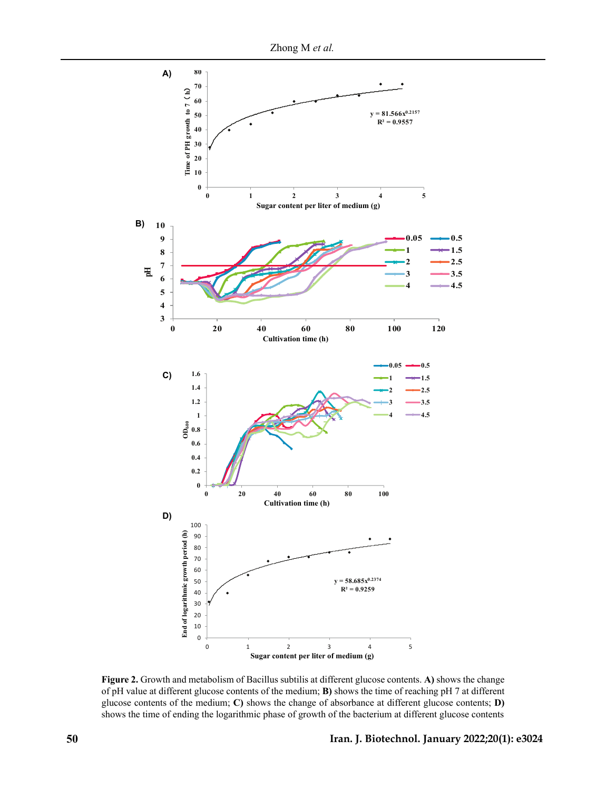

**Figure 2.** Growth and metabolism of Bacillus subtilis at different glucose contents. **A)** shows the change of pH value at different glucose contents of the medium; **B)** shows the time of reaching pH 7 at different glucose contents of the medium; **C)** shows the change of absorbance at different glucose contents; **D)** shows the time of ending the logarithmic phase of growth of the bacterium at different glucose contents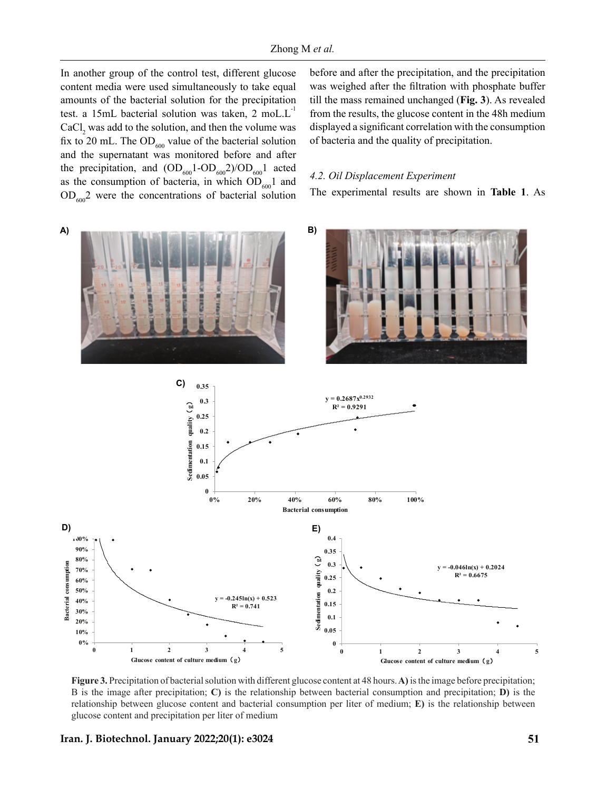In another group of the control test, different glucose content media were used simultaneously to take equal amounts of the bacterial solution for the precipitation test. a 15mL bacterial solution was taken,  $2 \text{ mol.L}$  $CaCl<sub>2</sub>$  was add to the solution, and then the volume was fix to 20 mL. The  $OD<sub>600</sub>$  value of the bacterial solution and the supernatant was monitored before and after the precipitation, and  $(OD_{600}1-OD_{600}2)/OD_{600}1$  acted as the consumption of bacteria, in which  $OD<sub>600</sub>1$  and  $OD<sub>600</sub>$ <sup>2</sup> were the concentrations of bacterial solution

before and after the precipitation, and the precipitation was weighed after the filtration with phosphate buffer till the mass remained unchanged (**Fig. 3**). As revealed from the results, the glucose content in the 48h medium displayed a significant correlation with the consumption of bacteria and the quality of precipitation.

#### *4.2. Oil Displacement Experiment*

The experimental results are shown in **Table 1**. As



**Figure 3.** Precipitation of bacterial solution with different glucose content at 48 hours. **A)** is the image before precipitation; B is the image after precipitation; **C)** is the relationship between bacterial consumption and precipitation; **D)** is the relationship between glucose content and bacterial consumption per liter of medium; **E)** is the relationship between glucose content and precipitation per liter of medium

#### **Iran. J. Biotechnol. January 2022;20(1): e3024**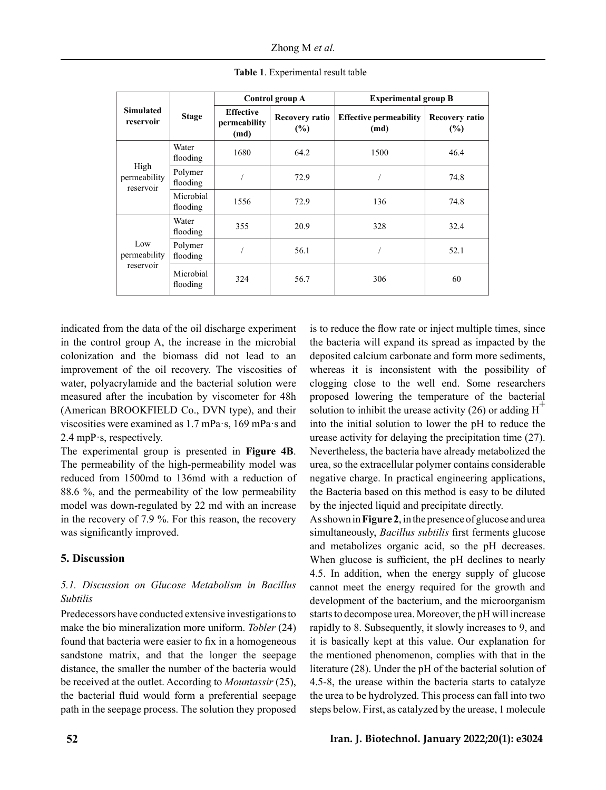Zhong M *et al.*

| <b>Simulated</b><br>reservoir     | <b>Stage</b>          | Control group A                          |                              | <b>Experimental group B</b>           |                       |
|-----------------------------------|-----------------------|------------------------------------------|------------------------------|---------------------------------------|-----------------------|
|                                   |                       | <b>Effective</b><br>permeability<br>(md) | <b>Recovery ratio</b><br>(%) | <b>Effective permeability</b><br>(md) | Recovery ratio<br>(%) |
| High<br>permeability<br>reservoir | Water<br>flooding     | 1680                                     | 64.2                         | 1500                                  | 46.4                  |
|                                   | Polymer<br>flooding   |                                          | 72.9                         |                                       | 74.8                  |
|                                   | Microbial<br>flooding | 1556                                     | 72.9                         | 136                                   | 74.8                  |
| Low<br>permeability<br>reservoir  | Water<br>flooding     | 355                                      | 20.9                         | 328                                   | 32.4                  |
|                                   | Polymer<br>flooding   |                                          | 56.1                         |                                       | 52.1                  |
|                                   | Microbial<br>flooding | 324                                      | 56.7                         | 306                                   | 60                    |

**Table 1**. Experimental result table

indicated from the data of the oil discharge experiment in the control group A, the increase in the microbial colonization and the biomass did not lead to an improvement of the oil recovery. The viscosities of water, polyacrylamide and the bacterial solution were measured after the incubation by viscometer for 48h (American BROOKFIELD Co., DVN type), and their viscosities were examined as 1.7 mPa·s, 169 mPa·s and 2.4 mpP·s, respectively.

The experimental group is presented in **Figure 4B**. The permeability of the high-permeability model was reduced from 1500md to 136md with a reduction of 88.6 %, and the permeability of the low permeability model was down-regulated by 22 md with an increase in the recovery of 7.9 %. For this reason, the recovery was significantly improved.

# **5. Discussion**

# *5.1. Discussion on Glucose Metabolism in Bacillus Subtilis*

Predecessors have conducted extensive investigations to make the bio mineralization more uniform. *Tobler* (24) found that bacteria were easier to fix in a homogeneous sandstone matrix, and that the longer the seepage distance, the smaller the number of the bacteria would be received at the outlet. According to *Mountassir* (25), the bacterial fluid would form a preferential seepage path in the seepage process. The solution they proposed is to reduce the flow rate or inject multiple times, since the bacteria will expand its spread as impacted by the deposited calcium carbonate and form more sediments, whereas it is inconsistent with the possibility of clogging close to the well end. Some researchers proposed lowering the temperature of the bacterial solution to inhibit the urease activity (26) or adding  $H^{\dagger}$ into the initial solution to lower the pH to reduce the urease activity for delaying the precipitation time (27). Nevertheless, the bacteria have already metabolized the urea, so the extracellular polymer contains considerable negative charge. In practical engineering applications, the Bacteria based on this method is easy to be diluted by the injected liquid and precipitate directly.

As shown in **Figure 2**, in the presence of glucose and urea simultaneously, *Bacillus subtilis* first ferments glucose and metabolizes organic acid, so the pH decreases. When glucose is sufficient, the pH declines to nearly 4.5. In addition, when the energy supply of glucose cannot meet the energy required for the growth and development of the bacterium, and the microorganism starts to decompose urea. Moreover, the pH will increase rapidly to 8. Subsequently, it slowly increases to 9, and it is basically kept at this value. Our explanation for the mentioned phenomenon, complies with that in the literature (28). Under the pH of the bacterial solution of 4.5-8, the urease within the bacteria starts to catalyze the urea to be hydrolyzed. This process can fall into two steps below. First, as catalyzed by the urease, 1 molecule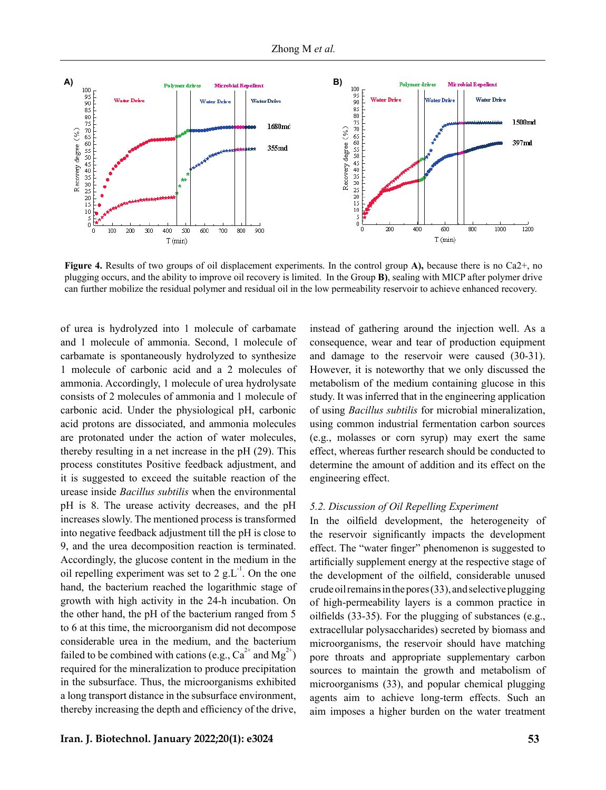

**Figure 4.** Results of two groups of oil displacement experiments. In the control group **A),** because there is no Ca2+, no plugging occurs, and the ability to improve oil recovery is limited. In the Group **B)**, sealing with MICP after polymer drive can further mobilize the residual polymer and residual oil in the low permeability reservoir to achieve enhanced recovery.

of urea is hydrolyzed into 1 molecule of carbamate and 1 molecule of ammonia. Second, 1 molecule of carbamate is spontaneously hydrolyzed to synthesize 1 molecule of carbonic acid and a 2 molecules of ammonia. Accordingly, 1 molecule of urea hydrolysate consists of 2 molecules of ammonia and 1 molecule of carbonic acid. Under the physiological pH, carbonic acid protons are dissociated, and ammonia molecules are protonated under the action of water molecules, thereby resulting in a net increase in the pH (29). This process constitutes Positive feedback adjustment, and it is suggested to exceed the suitable reaction of the urease inside *Bacillus subtilis* when the environmental pH is 8. The urease activity decreases, and the pH increases slowly. The mentioned process is transformed into negative feedback adjustment till the pH is close to 9, and the urea decomposition reaction is terminated. Accordingly, the glucose content in the medium in the oil repelling experiment was set to 2 g.L<sup>-1</sup>. On the one hand, the bacterium reached the logarithmic stage of growth with high activity in the 24-h incubation. On the other hand, the pH of the bacterium ranged from 5 to 6 at this time, the microorganism did not decompose considerable urea in the medium, and the bacterium failed to be combined with cations (e.g.,  $Ca^{2+}$  and  $Me^{2+}$ ) required for the mineralization to produce precipitation in the subsurface. Thus, the microorganisms exhibited a long transport distance in the subsurface environment, thereby increasing the depth and efficiency of the drive, instead of gathering around the injection well. As a consequence, wear and tear of production equipment and damage to the reservoir were caused (30-31). However, it is noteworthy that we only discussed the metabolism of the medium containing glucose in this study. It was inferred that in the engineering application of using *Bacillus subtilis* for microbial mineralization, using common industrial fermentation carbon sources (e.g., molasses or corn syrup) may exert the same effect, whereas further research should be conducted to determine the amount of addition and its effect on the engineering effect.

#### *5.2. Discussion of Oil Repelling Experiment*

In the oilfield development, the heterogeneity of the reservoir significantly impacts the development effect. The "water finger" phenomenon is suggested to artificially supplement energy at the respective stage of the development of the oilfield, considerable unused crude oil remains in the pores (33), and selective plugging of high-permeability layers is a common practice in oilfields  $(33-35)$ . For the plugging of substances (e.g., extracellular polysaccharides) secreted by biomass and microorganisms, the reservoir should have matching pore throats and appropriate supplementary carbon sources to maintain the growth and metabolism of microorganisms (33), and popular chemical plugging agents aim to achieve long-term effects. Such an aim imposes a higher burden on the water treatment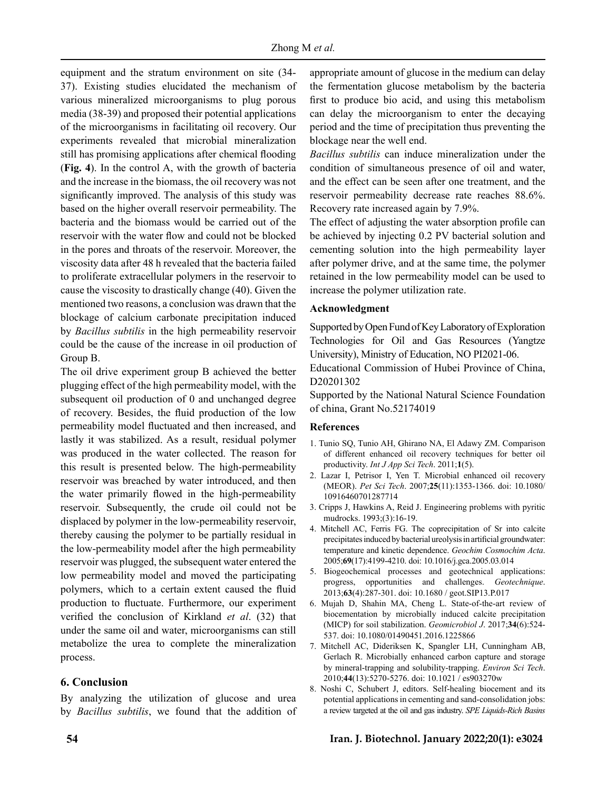equipment and the stratum environment on site (34- 37). Existing studies elucidated the mechanism of various mineralized microorganisms to plug porous media (38-39) and proposed their potential applications of the microorganisms in facilitating oil recovery. Our experiments revealed that microbial mineralization still has promising applications after chemical flooding (**Fig. 4**). In the control A, with the growth of bacteria and the increase in the biomass, the oil recovery was not significantly improved. The analysis of this study was based on the higher overall reservoir permeability. The bacteria and the biomass would be carried out of the reservoir with the water flow and could not be blocked in the pores and throats of the reservoir. Moreover, the viscosity data after 48 h revealed that the bacteria failed to proliferate extracellular polymers in the reservoir to cause the viscosity to drastically change (40). Given the mentioned two reasons, a conclusion was drawn that the blockage of calcium carbonate precipitation induced by *Bacillus subtilis* in the high permeability reservoir could be the cause of the increase in oil production of Group B.

The oil drive experiment group B achieved the better plugging effect of the high permeability model, with the subsequent oil production of 0 and unchanged degree of recovery. Besides, the fluid production of the low permeability model fluctuated and then increased, and lastly it was stabilized. As a result, residual polymer was produced in the water collected. The reason for this result is presented below. The high-permeability reservoir was breached by water introduced, and then the water primarily flowed in the high-permeability reservoir. Subsequently, the crude oil could not be displaced by polymer in the low-permeability reservoir, thereby causing the polymer to be partially residual in the low-permeability model after the high permeability reservoir was plugged, the subsequent water entered the low permeability model and moved the participating polymers, which to a certain extent caused the fluid production to fluctuate. Furthermore, our experiment verified the conclusion of Kirkland *et al*. (32) that under the same oil and water, microorganisms can still metabolize the urea to complete the mineralization process.

## **6. Conclusion**

By analyzing the utilization of glucose and urea by *Bacillus subtilis*, we found that the addition of appropriate amount of glucose in the medium can delay the fermentation glucose metabolism by the bacteria first to produce bio acid, and using this metabolism can delay the microorganism to enter the decaying period and the time of precipitation thus preventing the blockage near the well end.

*Bacillus subtilis* can induce mineralization under the condition of simultaneous presence of oil and water, and the effect can be seen after one treatment, and the reservoir permeability decrease rate reaches 88.6%. Recovery rate increased again by 7.9%.

The effect of adjusting the water absorption profile can be achieved by injecting 0.2 PV bacterial solution and cementing solution into the high permeability layer after polymer drive, and at the same time, the polymer retained in the low permeability model can be used to increase the polymer utilization rate.

#### **Acknowledgment**

Supported by Open Fund of Key Laboratory of Exploration Technologies for Oil and Gas Resources (Yangtze University), Ministry of Education, NO PI2021-06.

Educational Commission of Hubei Province of China, D20201302

Supported by the National Natural Science Foundation of china, Grant No.52174019

## **References**

- 1. Tunio SQ, Tunio AH, Ghirano NA, El Adawy ZM. Comparison of different enhanced oil recovery techniques for better oil productivity. *Int J App Sci Tech*. 2011;**1**(5).
- 2. Lazar I, Petrisor I, Yen T. Microbial enhanced oil recovery (MEOR). *Pet Sci Tech*. 2007;**25**(11):1353-1366. doi: 10.1080/ 10916460701287714
- 3. Cripps J, Hawkins A, Reid J. Engineering problems with pyritic mudrocks. 1993;(3):16-19.
- 4. Mitchell AC, Ferris FG. The coprecipitation of Sr into calcite precipitates induced by bacterial ureolysis in artificial groundwater: temperature and kinetic dependence. *Geochim Cosmochim Acta*. 2005;**69**(17):4199-4210. doi: 10.1016/j.gca.2005.03.014
- 5. Biogeochemical processes and geotechnical applications: progress, opportunities and challenges. *Geotechnique*. 2013;**63**(4):287-301. doi: 10.1680 / geot.SIP13.P.017
- 6. Mujah D, Shahin MA, Cheng L. State-of-the-art review of biocementation by microbially induced calcite precipitation (MICP) for soil stabilization. *Geomicrobiol J*. 2017;**34**(6):524- 537. doi: 10.1080/01490451.2016.1225866
- 7. Mitchell AC, Dideriksen K, Spangler LH, Cunningham AB, Gerlach R. Microbially enhanced carbon capture and storage by mineral-trapping and solubility-trapping. *Environ Sci Tech*. 2010;**44**(13):5270-5276. doi: 10.1021 / es903270w
- 8. Noshi C, Schubert J, editors. Self-healing biocement and its potential applications in cementing and sand-consolidation jobs: a review targeted at the oil and gas industry. *SPE Liquids-Rich Basins*